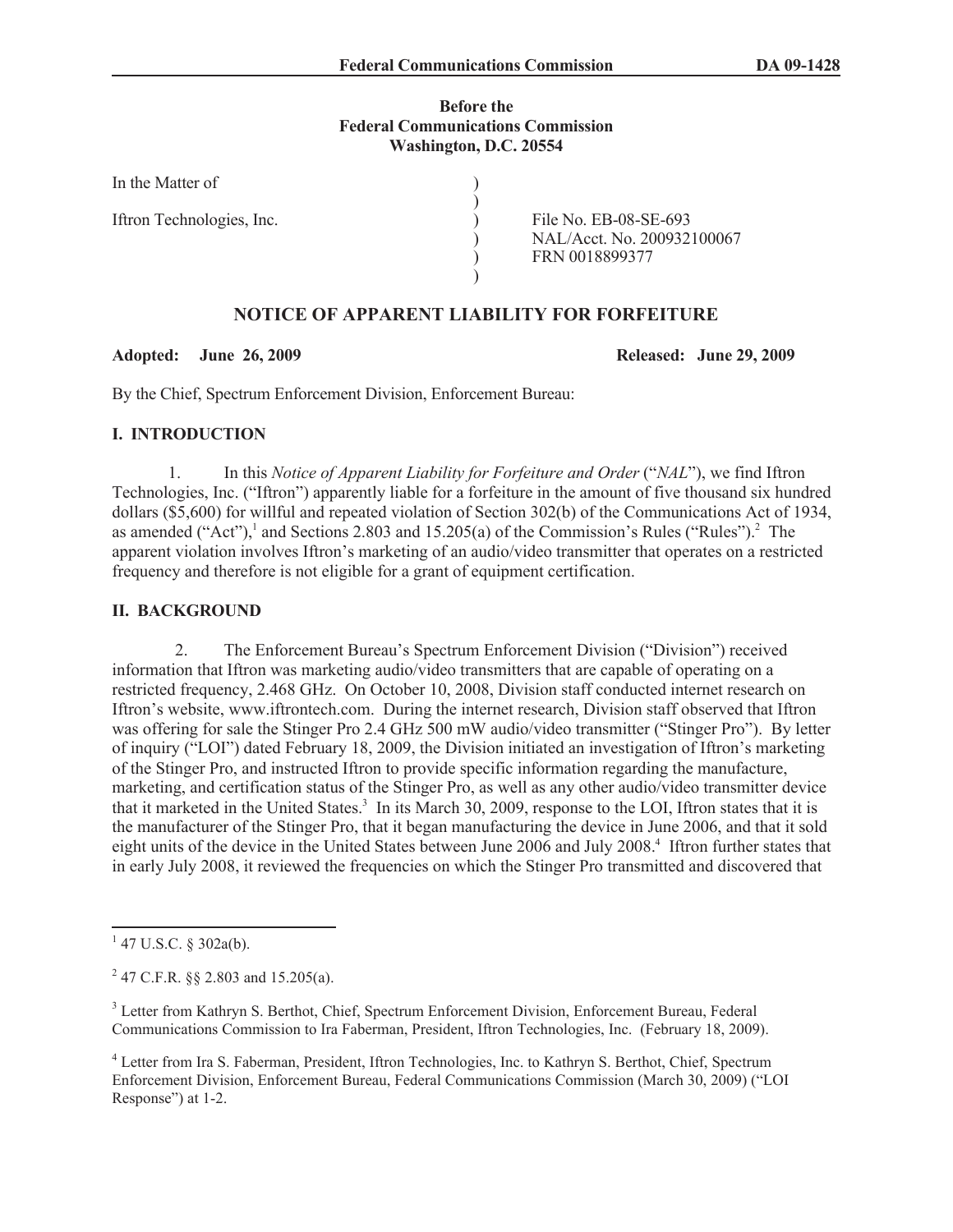#### **Before the Federal Communications Commission Washington, D.C. 20554**

)

In the Matter of

Iftron Technologies, Inc. <br>
File No. EB-08-SE-693

) NAL/Acct. No. 200932100067 ) FRN 0018899377

# **NOTICE OF APPARENT LIABILITY FOR FORFEITURE**

)

#### **Adopted: June 26, 2009 Released: June 29, 2009**

By the Chief, Spectrum Enforcement Division, Enforcement Bureau:

### **I. INTRODUCTION**

1. In this *Notice of Apparent Liability for Forfeiture and Order* ("*NAL*"), we find Iftron Technologies, Inc. ("Iftron") apparently liable for a forfeiture in the amount of five thousand six hundred dollars (\$5,600) for willful and repeated violation of Section 302(b) of the Communications Act of 1934, as amended ("Act"),<sup>1</sup> and Sections 2.803 and 15.205(a) of the Commission's Rules ("Rules").<sup>2</sup> The apparent violation involves Iftron's marketing of an audio/video transmitter that operates on a restricted frequency and therefore is not eligible for a grant of equipment certification.

### **II. BACKGROUND**

2. The Enforcement Bureau's Spectrum Enforcement Division ("Division") received information that Iftron was marketing audio/video transmitters that are capable of operating on a restricted frequency, 2.468 GHz. On October 10, 2008, Division staff conducted internet research on Iftron's website, www.iftrontech.com. During the internet research, Division staff observed that Iftron was offering for sale the Stinger Pro 2.4 GHz 500 mW audio/video transmitter ("Stinger Pro"). By letter of inquiry ("LOI") dated February 18, 2009, the Division initiated an investigation of Iftron's marketing of the Stinger Pro, and instructed Iftron to provide specific information regarding the manufacture, marketing, and certification status of the Stinger Pro, as well as any other audio/video transmitter device that it marketed in the United States.<sup>3</sup> In its March 30, 2009, response to the LOI, Iftron states that it is the manufacturer of the Stinger Pro, that it began manufacturing the device in June 2006, and that it sold eight units of the device in the United States between June 2006 and July 2008.<sup>4</sup> Iftron further states that in early July 2008, it reviewed the frequencies on which the Stinger Pro transmitted and discovered that

 $1$  47 U.S.C. § 302a(b).

<sup>&</sup>lt;sup>2</sup> 47 C.F.R. §§ 2.803 and 15.205(a).

<sup>3</sup> Letter from Kathryn S. Berthot, Chief, Spectrum Enforcement Division, Enforcement Bureau, Federal Communications Commission to Ira Faberman, President, Iftron Technologies, Inc. (February 18, 2009).

<sup>4</sup> Letter from Ira S. Faberman, President, Iftron Technologies, Inc. to Kathryn S. Berthot, Chief, Spectrum Enforcement Division, Enforcement Bureau, Federal Communications Commission (March 30, 2009) ("LOI Response") at 1-2.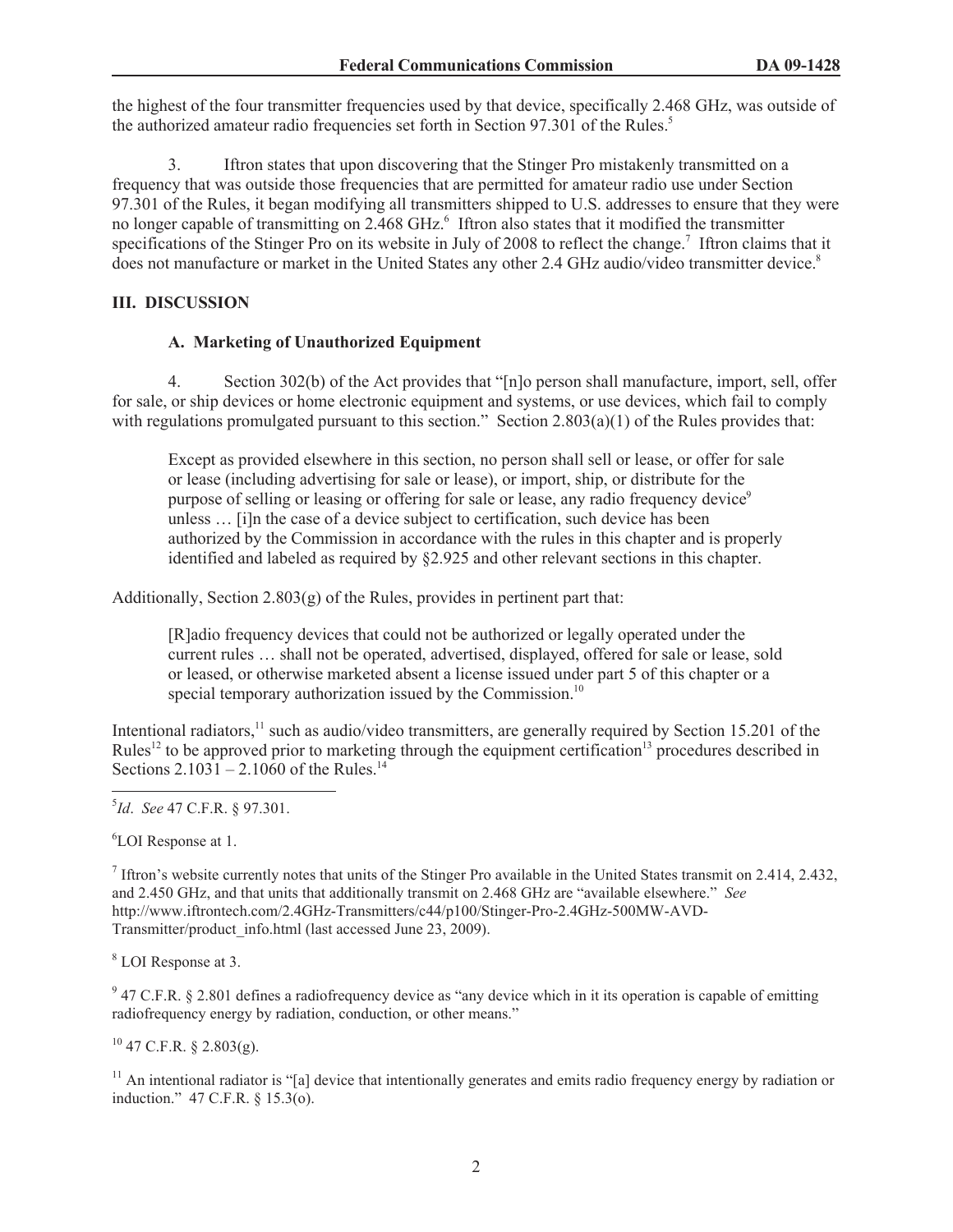the highest of the four transmitter frequencies used by that device, specifically 2.468 GHz, was outside of the authorized amateur radio frequencies set forth in Section 97.301 of the Rules.<sup>5</sup>

3. Iftron states that upon discovering that the Stinger Pro mistakenly transmitted on a frequency that was outside those frequencies that are permitted for amateur radio use under Section 97.301 of the Rules, it began modifying all transmitters shipped to U.S. addresses to ensure that they were no longer capable of transmitting on 2.468 GHz.<sup>6</sup> Iftron also states that it modified the transmitter specifications of the Stinger Pro on its website in July of 2008 to reflect the change.<sup>7</sup> Iftron claims that it does not manufacture or market in the United States any other 2.4 GHz audio/video transmitter device.<sup>8</sup>

### **III. DISCUSSION**

### **A. Marketing of Unauthorized Equipment**

4. Section 302(b) of the Act provides that "[n]o person shall manufacture, import, sell, offer for sale, or ship devices or home electronic equipment and systems, or use devices, which fail to comply with regulations promulgated pursuant to this section." Section 2.803(a)(1) of the Rules provides that:

Except as provided elsewhere in this section, no person shall sell or lease, or offer for sale or lease (including advertising for sale or lease), or import, ship, or distribute for the purpose of selling or leasing or offering for sale or lease, any radio frequency device<sup>9</sup> unless … [i]n the case of a device subject to certification, such device has been authorized by the Commission in accordance with the rules in this chapter and is properly identified and labeled as required by §2.925 and other relevant sections in this chapter.

Additionally, Section 2.803(g) of the Rules, provides in pertinent part that:

[R]adio frequency devices that could not be authorized or legally operated under the current rules … shall not be operated, advertised, displayed, offered for sale or lease, sold or leased, or otherwise marketed absent a license issued under part 5 of this chapter or a special temporary authorization issued by the Commission.<sup>10</sup>

Intentional radiators, $11$  such as audio/video transmitters, are generally required by Section 15.201 of the Rules<sup>12</sup> to be approved prior to marketing through the equipment certification<sup>13</sup> procedures described in Sections  $2.1031 - 2.1060$  of the Rules.<sup>14</sup>

<sup>6</sup>LOI Response at 1.

<sup>7</sup> Iftron's website currently notes that units of the Stinger Pro available in the United States transmit on 2.414, 2.432, and 2.450 GHz, and that units that additionally transmit on 2.468 GHz are "available elsewhere." *See* http://www.iftrontech.com/2.4GHz-Transmitters/c44/p100/Stinger-Pro-2.4GHz-500MW-AVD-Transmitter/product\_info.html (last accessed June 23, 2009).

<sup>8</sup> LOI Response at 3.

 $9$  47 C.F.R. § 2.801 defines a radiofrequency device as "any device which in it its operation is capable of emitting radiofrequency energy by radiation, conduction, or other means."

 $^{10}$  47 C.F.R. § 2.803(g).

 $11$  An intentional radiator is "[a] device that intentionally generates and emits radio frequency energy by radiation or induction." 47 C.F.R. § 15.3(o).

<sup>5</sup> *Id*. *See* 47 C.F.R. § 97.301.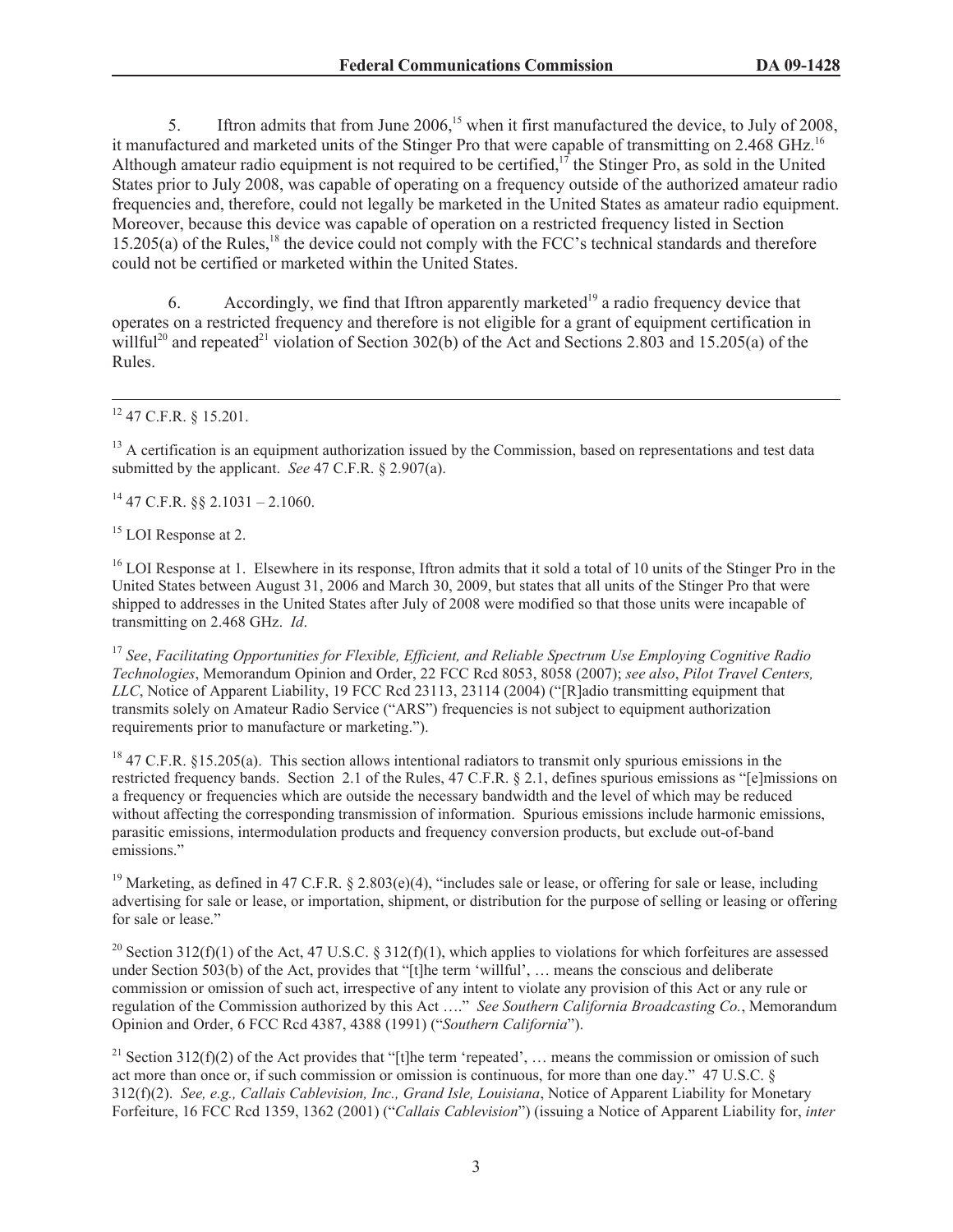5. Iftron admits that from June 2006,<sup>15</sup> when it first manufactured the device, to July of 2008, it manufactured and marketed units of the Stinger Pro that were capable of transmitting on 2.468 GHz.<sup>16</sup> Although amateur radio equipment is not required to be certified, $1<sup>7</sup>$  the Stinger Pro, as sold in the United States prior to July 2008, was capable of operating on a frequency outside of the authorized amateur radio frequencies and, therefore, could not legally be marketed in the United States as amateur radio equipment. Moreover, because this device was capable of operation on a restricted frequency listed in Section  $15.205(a)$  of the Rules,<sup>18</sup> the device could not comply with the FCC's technical standards and therefore could not be certified or marketed within the United States.

6. Accordingly, we find that Iftron apparently marketed<sup>19</sup> a radio frequency device that operates on a restricted frequency and therefore is not eligible for a grant of equipment certification in willful<sup>20</sup> and repeated<sup>21</sup> violation of Section 302(b) of the Act and Sections 2.803 and 15.205(a) of the Rules.

 $12$  47 C.F.R. § 15.201.

<sup>13</sup> A certification is an equipment authorization issued by the Commission, based on representations and test data submitted by the applicant. *See* 47 C.F.R. § 2.907(a).

 $14$  47 C.F.R.  $88$  2.1031 – 2.1060.

<sup>15</sup> LOI Response at 2.

<sup>16</sup> LOI Response at 1. Elsewhere in its response, Iftron admits that it sold a total of 10 units of the Stinger Pro in the United States between August 31, 2006 and March 30, 2009, but states that all units of the Stinger Pro that were shipped to addresses in the United States after July of 2008 were modified so that those units were incapable of transmitting on 2.468 GHz. *Id*.

<sup>17</sup> *See*, *Facilitating Opportunities for Flexible, Efficient, and Reliable Spectrum Use Employing Cognitive Radio Technologies*, Memorandum Opinion and Order, 22 FCC Rcd 8053, 8058 (2007); *see also*, *Pilot Travel Centers, LLC*, Notice of Apparent Liability, 19 FCC Rcd 23113, 23114 (2004) ("[R]adio transmitting equipment that transmits solely on Amateur Radio Service ("ARS") frequencies is not subject to equipment authorization requirements prior to manufacture or marketing.").

<sup>18</sup> 47 C.F.R. §15.205(a). This section allows intentional radiators to transmit only spurious emissions in the restricted frequency bands. Section 2.1 of the Rules, 47 C.F.R. § 2.1, defines spurious emissions as "[e]missions on a frequency or frequencies which are outside the necessary bandwidth and the level of which may be reduced without affecting the corresponding transmission of information. Spurious emissions include harmonic emissions, parasitic emissions, intermodulation products and frequency conversion products, but exclude out-of-band emissions."

<sup>19</sup> Marketing, as defined in 47 C.F.R. § 2.803(e)(4), "includes sale or lease, or offering for sale or lease, including advertising for sale or lease, or importation, shipment, or distribution for the purpose of selling or leasing or offering for sale or lease."

<sup>20</sup> Section 312(f)(1) of the Act, 47 U.S.C. § 312(f)(1), which applies to violations for which forfeitures are assessed under Section 503(b) of the Act, provides that "[t]he term 'willful', … means the conscious and deliberate commission or omission of such act, irrespective of any intent to violate any provision of this Act or any rule or regulation of the Commission authorized by this Act …." *See Southern California Broadcasting Co.*, Memorandum Opinion and Order, 6 FCC Rcd 4387, 4388 (1991) ("*Southern California*").

<sup>21</sup> Section 312(f)(2) of the Act provides that "[t]he term 'repeated', ... means the commission or omission of such act more than once or, if such commission or omission is continuous, for more than one day." 47 U.S.C. § 312(f)(2). *See, e.g., Callais Cablevision, Inc., Grand Isle, Louisiana*, Notice of Apparent Liability for Monetary Forfeiture, 16 FCC Rcd 1359, 1362 (2001) ("*Callais Cablevision*") (issuing a Notice of Apparent Liability for, *inter*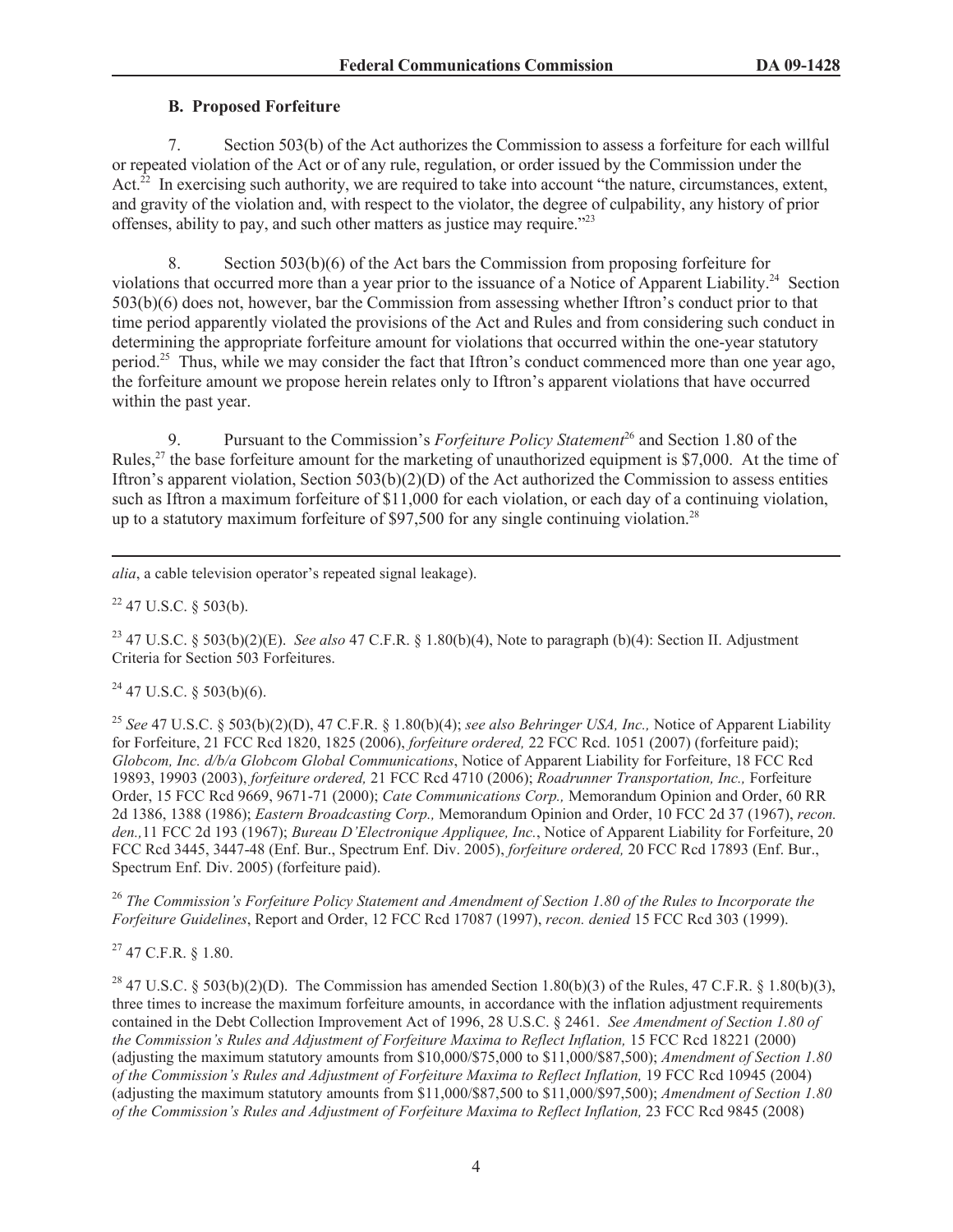## **B. Proposed Forfeiture**

7. Section 503(b) of the Act authorizes the Commission to assess a forfeiture for each willful or repeated violation of the Act or of any rule, regulation, or order issued by the Commission under the Act.<sup>22</sup> In exercising such authority, we are required to take into account "the nature, circumstances, extent, and gravity of the violation and, with respect to the violator, the degree of culpability, any history of prior offenses, ability to pay, and such other matters as justice may require."<sup>23</sup>

8. Section 503(b)(6) of the Act bars the Commission from proposing forfeiture for violations that occurred more than a year prior to the issuance of a Notice of Apparent Liability.<sup>24</sup> Section 503(b)(6) does not, however, bar the Commission from assessing whether Iftron's conduct prior to that time period apparently violated the provisions of the Act and Rules and from considering such conduct in determining the appropriate forfeiture amount for violations that occurred within the one-year statutory period.<sup>25</sup> Thus, while we may consider the fact that Iftron's conduct commenced more than one year ago, the forfeiture amount we propose herein relates only to Iftron's apparent violations that have occurred within the past year.

9. Pursuant to the Commission's *Forfeiture Policy Statement*<sup>26</sup> and Section 1.80 of the Rules,<sup>27</sup> the base forfeiture amount for the marketing of unauthorized equipment is \$7,000. At the time of Iftron's apparent violation, Section 503(b)(2)(D) of the Act authorized the Commission to assess entities such as Iftron a maximum forfeiture of \$11,000 for each violation, or each day of a continuing violation, up to a statutory maximum forfeiture of \$97,500 for any single continuing violation.<sup>28</sup>

*alia*, a cable television operator's repeated signal leakage).

 $22$  47 U.S.C. § 503(b).

<sup>23</sup> 47 U.S.C. § 503(b)(2)(E). *See also* 47 C.F.R. § 1.80(b)(4), Note to paragraph (b)(4): Section II. Adjustment Criteria for Section 503 Forfeitures.

 $24$  47 U.S.C. § 503(b)(6).

<sup>25</sup> *See* 47 U.S.C. § 503(b)(2)(D), 47 C.F.R. § 1.80(b)(4); *see also Behringer USA, Inc.,* Notice of Apparent Liability for Forfeiture, 21 FCC Rcd 1820, 1825 (2006), *forfeiture ordered,* 22 FCC Rcd. 1051 (2007) (forfeiture paid); *Globcom, Inc. d/b/a Globcom Global Communications*, Notice of Apparent Liability for Forfeiture, 18 FCC Rcd 19893, 19903 (2003), *forfeiture ordered,* 21 FCC Rcd 4710 (2006); *Roadrunner Transportation, Inc.,* Forfeiture Order, 15 FCC Rcd 9669, 9671-71 (2000); *Cate Communications Corp.,* Memorandum Opinion and Order, 60 RR 2d 1386, 1388 (1986); *Eastern Broadcasting Corp.,* Memorandum Opinion and Order, 10 FCC 2d 37 (1967), *recon. den.,*11 FCC 2d 193 (1967); *Bureau D'Electronique Appliquee, Inc.*, Notice of Apparent Liability for Forfeiture, 20 FCC Rcd 3445, 3447-48 (Enf. Bur., Spectrum Enf. Div. 2005), *forfeiture ordered,* 20 FCC Rcd 17893 (Enf. Bur., Spectrum Enf. Div. 2005) (forfeiture paid).

<sup>26</sup> *The Commission's Forfeiture Policy Statement and Amendment of Section 1.80 of the Rules to Incorporate the Forfeiture Guidelines*, Report and Order, 12 FCC Rcd 17087 (1997), *recon. denied* 15 FCC Rcd 303 (1999).

 $27$  47 C.F.R.  $8$  1.80.

<sup>28</sup> 47 U.S.C. § 503(b)(2)(D). The Commission has amended Section 1.80(b)(3) of the Rules, 47 C.F.R. § 1.80(b)(3), three times to increase the maximum forfeiture amounts, in accordance with the inflation adjustment requirements contained in the Debt Collection Improvement Act of 1996, 28 U.S.C. § 2461. *See Amendment of Section 1.80 of the Commission's Rules and Adjustment of Forfeiture Maxima to Reflect Inflation, 15 FCC Rcd 18221 (2000)* (adjusting the maximum statutory amounts from \$10,000/\$75,000 to \$11,000/\$87,500); *Amendment of Section 1.80 of the Commission's Rules and Adjustment of Forfeiture Maxima to Reflect Inflation,* 19 FCC Rcd 10945 (2004) (adjusting the maximum statutory amounts from \$11,000/\$87,500 to \$11,000/\$97,500); *Amendment of Section 1.80 of the Commission's Rules and Adjustment of Forfeiture Maxima to Reflect Inflation,* 23 FCC Rcd 9845 (2008)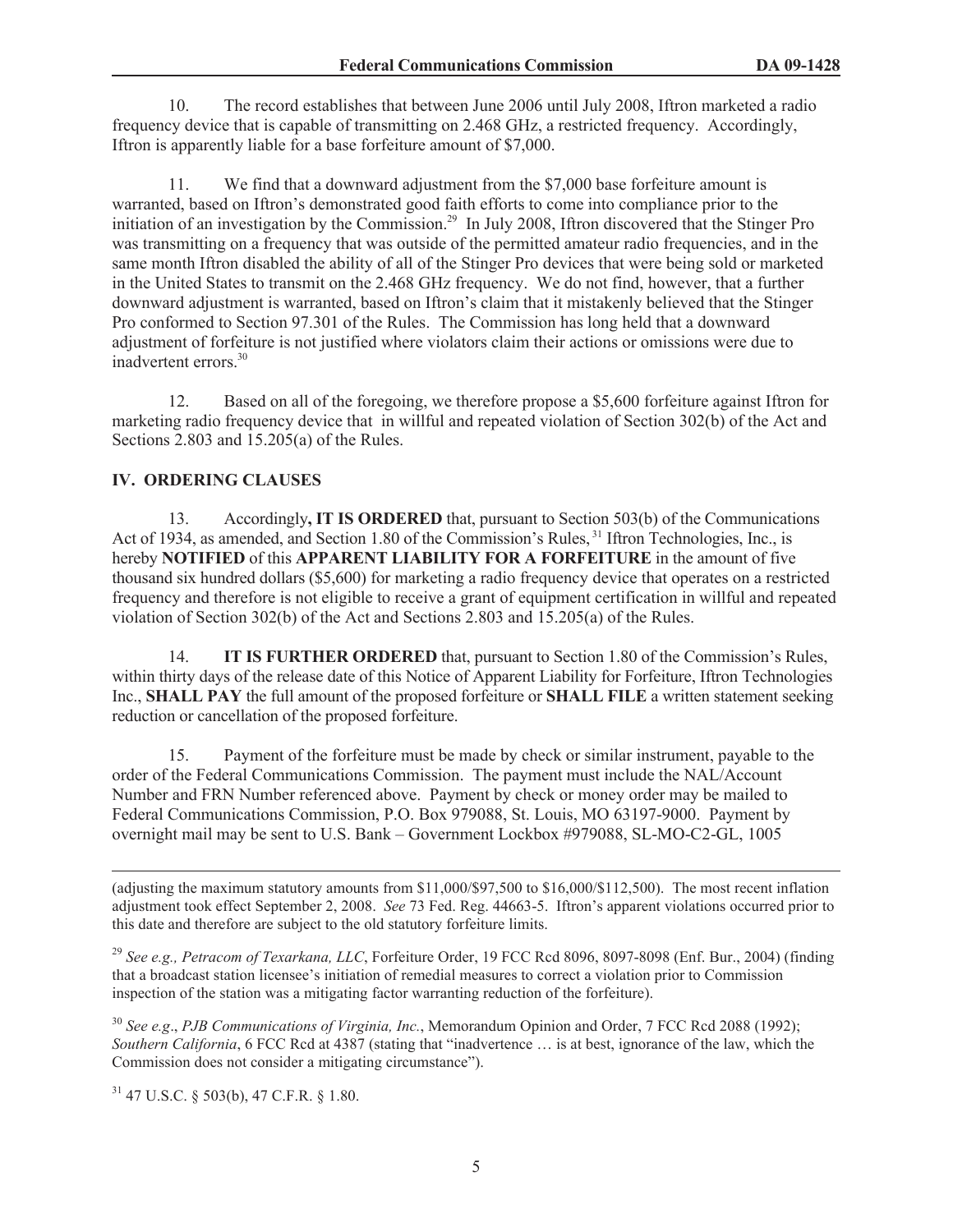10. The record establishes that between June 2006 until July 2008, Iftron marketed a radio frequency device that is capable of transmitting on 2.468 GHz, a restricted frequency. Accordingly, Iftron is apparently liable for a base forfeiture amount of \$7,000.

11. We find that a downward adjustment from the \$7,000 base forfeiture amount is warranted, based on Iftron's demonstrated good faith efforts to come into compliance prior to the initiation of an investigation by the Commission.<sup>29</sup> In July 2008, Iftron discovered that the Stinger Pro was transmitting on a frequency that was outside of the permitted amateur radio frequencies, and in the same month Iftron disabled the ability of all of the Stinger Pro devices that were being sold or marketed in the United States to transmit on the 2.468 GHz frequency. We do not find, however, that a further downward adjustment is warranted, based on Iftron's claim that it mistakenly believed that the Stinger Pro conformed to Section 97.301 of the Rules. The Commission has long held that a downward adjustment of forfeiture is not justified where violators claim their actions or omissions were due to inadvertent errors.<sup>30</sup>

12. Based on all of the foregoing, we therefore propose a \$5,600 forfeiture against Iftron for marketing radio frequency device that in willful and repeated violation of Section 302(b) of the Act and Sections 2.803 and 15.205(a) of the Rules.

# **IV. ORDERING CLAUSES**

13. Accordingly**, IT IS ORDERED** that, pursuant to Section 503(b) of the Communications Act of 1934, as amended, and Section 1.80 of the Commission's Rules, <sup>31</sup> Iftron Technologies, Inc., is hereby **NOTIFIED** of this **APPARENT LIABILITY FOR A FORFEITURE** in the amount of five thousand six hundred dollars (\$5,600) for marketing a radio frequency device that operates on a restricted frequency and therefore is not eligible to receive a grant of equipment certification in willful and repeated violation of Section 302(b) of the Act and Sections 2.803 and 15.205(a) of the Rules.

14. **IT IS FURTHER ORDERED** that, pursuant to Section 1.80 of the Commission's Rules, within thirty days of the release date of this Notice of Apparent Liability for Forfeiture, Iftron Technologies Inc., **SHALL PAY** the full amount of the proposed forfeiture or **SHALL FILE** a written statement seeking reduction or cancellation of the proposed forfeiture.

15. Payment of the forfeiture must be made by check or similar instrument, payable to the order of the Federal Communications Commission. The payment must include the NAL/Account Number and FRN Number referenced above. Payment by check or money order may be mailed to Federal Communications Commission, P.O. Box 979088, St. Louis, MO 63197-9000. Payment by overnight mail may be sent to U.S. Bank – Government Lockbox #979088, SL-MO-C2-GL, 1005

(adjusting the maximum statutory amounts from \$11,000/\$97,500 to \$16,000/\$112,500). The most recent inflation adjustment took effect September 2, 2008. *See* 73 Fed. Reg. 44663-5. Iftron's apparent violations occurred prior to this date and therefore are subject to the old statutory forfeiture limits.

<sup>29</sup> *See e.g., Petracom of Texarkana, LLC*, Forfeiture Order, 19 FCC Rcd 8096, 8097-8098 (Enf. Bur., 2004) (finding that a broadcast station licensee's initiation of remedial measures to correct a violation prior to Commission inspection of the station was a mitigating factor warranting reduction of the forfeiture).

<sup>30</sup> *See e.g*., *PJB Communications of Virginia, Inc.*, Memorandum Opinion and Order, 7 FCC Rcd 2088 (1992); *Southern California*, 6 FCC Rcd at 4387 (stating that "inadvertence … is at best, ignorance of the law, which the Commission does not consider a mitigating circumstance").

<sup>31</sup> 47 U.S.C. § 503(b), 47 C.F.R. § 1.80.